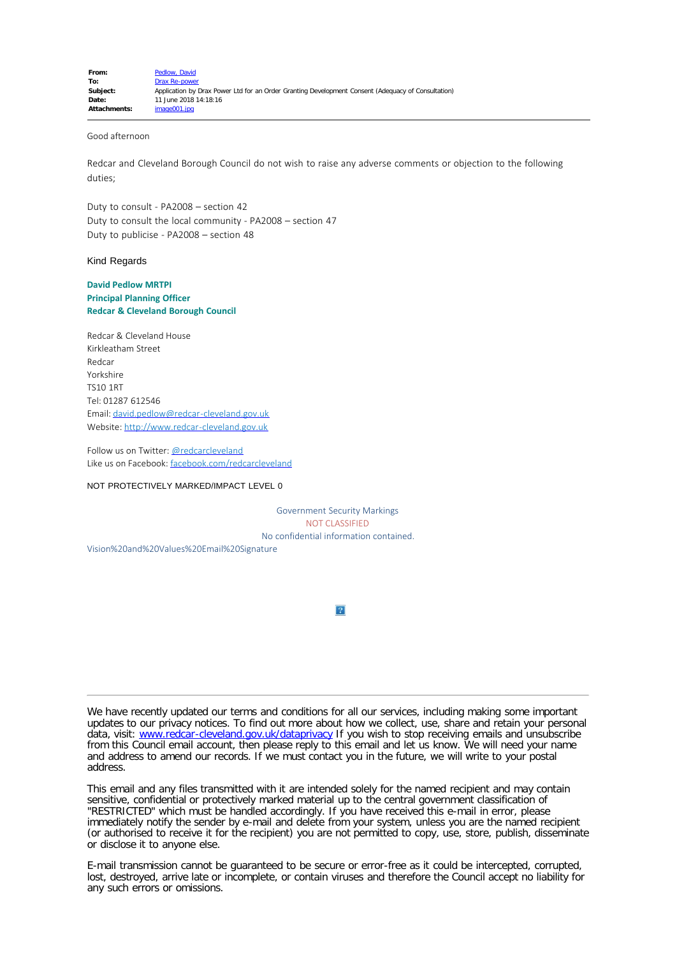## Good afternoon

Redcar and Cleveland Borough Council do not wish to raise any adverse comments or objection to the following duties;

Duty to consult - PA2008 – section 42 Duty to consult the local community - PA2008 – section 47 Duty to publicise - PA2008 – section 48

## Kind Regards

## **David Pedlow MRTPI Principal Planning Officer Redcar & Cleveland Borough Council**

Redcar & Cleveland House Kirkleatham Street Redcar Yorkshire TS10 1RT Tel: 01287 612546 Email: [david.pedlow@redcar-cleveland.gov.uk](mailto:david.pedlow@redcar-cleveland.gov.uk) Website: [http://www.redcar-cleveland.gov.uk](http://www.redcar-cleveland.gov.uk/)

Follow us on Twitter: [@redcarcleveland](https://twitter.com/RedcarCleveland) Like us on Facebook: [facebook.com/redcarcleveland](https://www.facebook.com/redcarcleveland)

NOT PROTECTIVELY MARKED/IMPACT LEVEL 0

Government Security Markings NOT CLASSIFIED No confidential information contained.

Vision%20and%20Values%20Email%20Signature

 $\overline{?}$ 

We have recently updated our terms and conditions for all our services, including making some important updates to our privacy notices. To find out more about how we collect, use, share and retain your personal data, visit: [www.redcar-cleveland.gov.uk/dataprivacy](http://www.redcar-cleveland.gov.uk/rcbcweb.nsf/Web+Full+List/3C42179F8A207B5480256B8300597197?OpenDocument) If you wish to stop receiving emails and unsubscribe from this Council email account, then please reply to this email and let us know. We will need your name and address to amend our records. If we must contact you in the future, we will write to your postal address.

This email and any files transmitted with it are intended solely for the named recipient and may contain sensitive, confidential or protectively marked material up to the central government classification of "RESTRICTED" which must be handled accordingly. If you have received this e-mail in error, please immediately notify the sender by e-mail and delete from your system, unless you are the named recipient (or authorised to receive it for the recipient) you are not permitted to copy, use, store, publish, disseminate or disclose it to anyone else.

E-mail transmission cannot be guaranteed to be secure or error-free as it could be intercepted, corrupted, lost, destroyed, arrive late or incomplete, or contain viruses and therefore the Council accept no liability for any such errors or omissions.